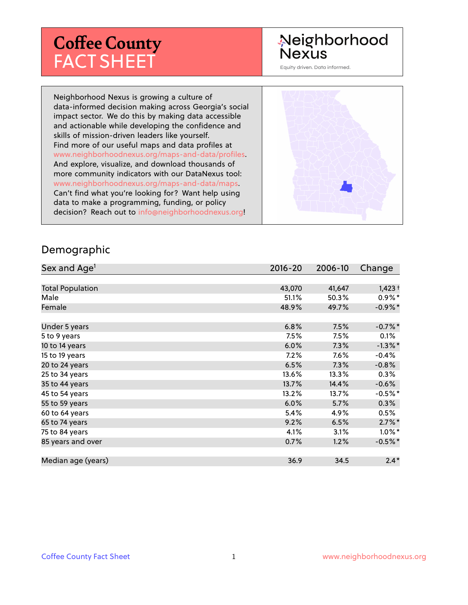## **Coffee County** FACT SHEET

# Neighborhood<br>Nexus

Equity driven. Data informed.

Neighborhood Nexus is growing a culture of data-informed decision making across Georgia's social impact sector. We do this by making data accessible and actionable while developing the confidence and skills of mission-driven leaders like yourself. Find more of our useful maps and data profiles at www.neighborhoodnexus.org/maps-and-data/profiles. And explore, visualize, and download thousands of more community indicators with our DataNexus tool: www.neighborhoodnexus.org/maps-and-data/maps. Can't find what you're looking for? Want help using data to make a programming, funding, or policy decision? Reach out to [info@neighborhoodnexus.org!](mailto:info@neighborhoodnexus.org)



#### Demographic

| Sex and Age <sup>1</sup> | $2016 - 20$ | 2006-10 | Change     |
|--------------------------|-------------|---------|------------|
|                          |             |         |            |
| <b>Total Population</b>  | 43,070      | 41,647  | $1,423+$   |
| Male                     | 51.1%       | 50.3%   | $0.9\%*$   |
| Female                   | 48.9%       | 49.7%   | $-0.9\%$ * |
|                          |             |         |            |
| Under 5 years            | 6.8%        | 7.5%    | $-0.7%$ *  |
| 5 to 9 years             | 7.5%        | 7.5%    | 0.1%       |
| 10 to 14 years           | 6.0%        | 7.3%    | $-1.3\%$ * |
| 15 to 19 years           | 7.2%        | 7.6%    | $-0.4%$    |
| 20 to 24 years           | 6.5%        | 7.3%    | $-0.8%$    |
| 25 to 34 years           | 13.6%       | 13.3%   | $0.3\%$    |
| 35 to 44 years           | 13.7%       | 14.4%   | $-0.6%$    |
| 45 to 54 years           | 13.2%       | 13.7%   | $-0.5%$ *  |
| 55 to 59 years           | 6.0%        | 5.7%    | 0.3%       |
| 60 to 64 years           | 5.4%        | 4.9%    | 0.5%       |
| 65 to 74 years           | 9.2%        | 6.5%    | $2.7\%$ *  |
| 75 to 84 years           | 4.1%        | 3.1%    | $1.0\%$ *  |
| 85 years and over        | 0.7%        | 1.2%    | $-0.5%$ *  |
|                          |             |         |            |
| Median age (years)       | 36.9        | 34.5    | $2.4*$     |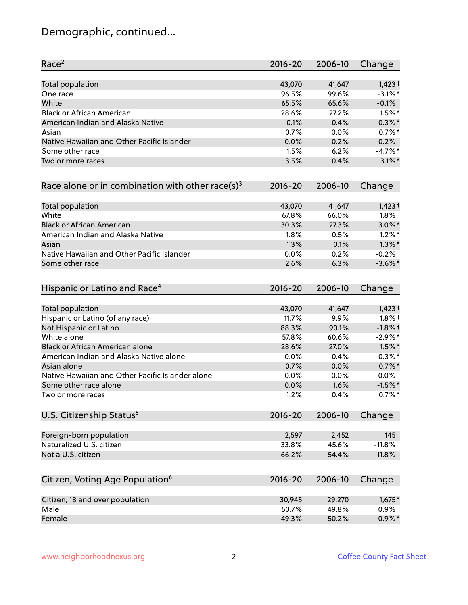### Demographic, continued...

| Race <sup>2</sup>                                   | $2016 - 20$ | 2006-10 | Change     |
|-----------------------------------------------------|-------------|---------|------------|
| <b>Total population</b>                             | 43,070      | 41,647  | $1,423+$   |
| One race                                            | 96.5%       | 99.6%   | $-3.1\%$ * |
| White                                               | 65.5%       | 65.6%   | $-0.1%$    |
| <b>Black or African American</b>                    | 28.6%       | 27.2%   | $1.5\%$ *  |
| American Indian and Alaska Native                   | 0.1%        | 0.4%    | $-0.3\%$ * |
| Asian                                               | 0.7%        | 0.0%    | $0.7%$ *   |
| Native Hawaiian and Other Pacific Islander          | 0.0%        | 0.2%    | $-0.2%$    |
| Some other race                                     | 1.5%        | 6.2%    | $-4.7%$ *  |
| Two or more races                                   | 3.5%        | 0.4%    | $3.1\%$ *  |
| Race alone or in combination with other race(s) $3$ | $2016 - 20$ | 2006-10 | Change     |
| Total population                                    | 43,070      | 41,647  | $1,423+$   |
| White                                               | 67.8%       | 66.0%   | 1.8%       |
| <b>Black or African American</b>                    | 30.3%       | 27.3%   | $3.0\%$ *  |
| American Indian and Alaska Native                   | 1.8%        | 0.5%    | $1.2\%$ *  |
| Asian                                               | 1.3%        | 0.1%    | $1.3\%$ *  |
| Native Hawaiian and Other Pacific Islander          | 0.0%        | 0.2%    | $-0.2%$    |
| Some other race                                     | 2.6%        | 6.3%    | $-3.6\%$ * |
| Hispanic or Latino and Race <sup>4</sup>            | $2016 - 20$ | 2006-10 | Change     |
| <b>Total population</b>                             | 43,070      | 41,647  | $1,423+$   |
| Hispanic or Latino (of any race)                    | 11.7%       | 9.9%    | $1.8\%$ †  |
| Not Hispanic or Latino                              | 88.3%       | 90.1%   | $-1.8%$ †  |
| White alone                                         | 57.8%       | 60.6%   | $-2.9\%$ * |
| Black or African American alone                     | 28.6%       | 27.0%   | $1.5\%$ *  |
| American Indian and Alaska Native alone             | 0.0%        | 0.4%    | $-0.3\%$ * |
| Asian alone                                         | 0.7%        | 0.0%    | $0.7\%$ *  |
| Native Hawaiian and Other Pacific Islander alone    | 0.0%        | 0.0%    | 0.0%       |
| Some other race alone                               | 0.0%        | 1.6%    | $-1.5%$ *  |
| Two or more races                                   | 1.2%        | 0.4%    | $0.7%$ *   |
| U.S. Citizenship Status <sup>5</sup>                | $2016 - 20$ | 2006-10 | Change     |
| Foreign-born population                             | 2,597       | 2,452   | 145        |
| Naturalized U.S. citizen                            | 33.8%       | 45.6%   | $-11.8%$   |
| Not a U.S. citizen                                  | 66.2%       | 54.4%   | 11.8%      |
|                                                     |             |         |            |
| Citizen, Voting Age Population <sup>6</sup>         | $2016 - 20$ | 2006-10 | Change     |
| Citizen, 18 and over population                     | 30,945      | 29,270  | $1,675*$   |
| Male                                                | 50.7%       | 49.8%   | 0.9%       |
| Female                                              | 49.3%       | 50.2%   | $-0.9\%$ * |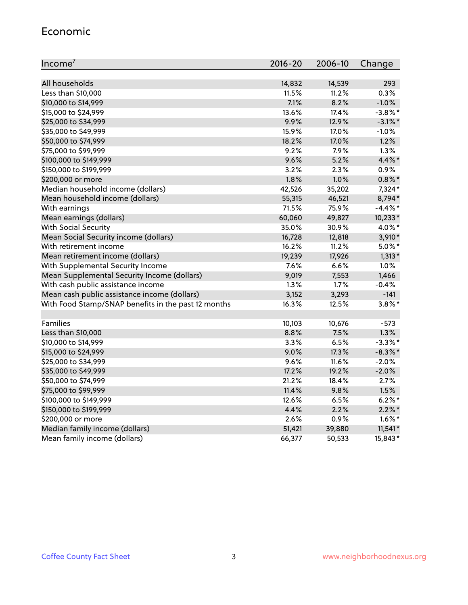#### Economic

| Income <sup>7</sup>                                 | $2016 - 20$ | 2006-10 | Change     |
|-----------------------------------------------------|-------------|---------|------------|
|                                                     |             |         |            |
| All households                                      | 14,832      | 14,539  | 293        |
| Less than \$10,000                                  | 11.5%       | 11.2%   | 0.3%       |
| \$10,000 to \$14,999                                | 7.1%        | 8.2%    | $-1.0%$    |
| \$15,000 to \$24,999                                | 13.6%       | 17.4%   | $-3.8\%$ * |
| \$25,000 to \$34,999                                | 9.9%        | 12.9%   | $-3.1\%$ * |
| \$35,000 to \$49,999                                | 15.9%       | 17.0%   | $-1.0%$    |
| \$50,000 to \$74,999                                | 18.2%       | 17.0%   | 1.2%       |
| \$75,000 to \$99,999                                | 9.2%        | 7.9%    | 1.3%       |
| \$100,000 to \$149,999                              | 9.6%        | 5.2%    | 4.4%*      |
| \$150,000 to \$199,999                              | 3.2%        | 2.3%    | 0.9%       |
| \$200,000 or more                                   | 1.8%        | 1.0%    | $0.8\%$ *  |
| Median household income (dollars)                   | 42,526      | 35,202  | 7,324*     |
| Mean household income (dollars)                     | 55,315      | 46,521  | 8,794*     |
| With earnings                                       | 71.5%       | 75.9%   | $-4.4\%$ * |
| Mean earnings (dollars)                             | 60,060      | 49,827  | 10,233*    |
| <b>With Social Security</b>                         | 35.0%       | 30.9%   | 4.0%*      |
| Mean Social Security income (dollars)               | 16,728      | 12,818  | $3,910*$   |
| With retirement income                              | 16.2%       | 11.2%   | $5.0\%$ *  |
| Mean retirement income (dollars)                    | 19,239      | 17,926  | $1,313*$   |
| With Supplemental Security Income                   | 7.6%        | 6.6%    | 1.0%       |
| Mean Supplemental Security Income (dollars)         | 9,019       | 7,553   | 1,466      |
| With cash public assistance income                  | 1.3%        | 1.7%    | $-0.4%$    |
| Mean cash public assistance income (dollars)        | 3,152       | 3,293   | $-141$     |
| With Food Stamp/SNAP benefits in the past 12 months | 16.3%       | 12.5%   | $3.8\%$ *  |
|                                                     |             |         |            |
| Families                                            | 10,103      | 10,676  | $-573$     |
| Less than \$10,000                                  | 8.8%        | 7.5%    | 1.3%       |
| \$10,000 to \$14,999                                | 3.3%        | 6.5%    | $-3.3\%$ * |
| \$15,000 to \$24,999                                | 9.0%        | 17.3%   | $-8.3\%$ * |
| \$25,000 to \$34,999                                | 9.6%        | 11.6%   | $-2.0%$    |
| \$35,000 to \$49,999                                | 17.2%       | 19.2%   | $-2.0%$    |
| \$50,000 to \$74,999                                | 21.2%       | 18.4%   | 2.7%       |
| \$75,000 to \$99,999                                | 11.4%       | 9.8%    | 1.5%       |
| \$100,000 to \$149,999                              | 12.6%       | 6.5%    | $6.2%$ *   |
| \$150,000 to \$199,999                              | 4.4%        | 2.2%    | $2.2\%$ *  |
| \$200,000 or more                                   | 2.6%        | 0.9%    | $1.6\%$ *  |
| Median family income (dollars)                      | 51,421      | 39,880  | $11,541*$  |
| Mean family income (dollars)                        | 66,377      | 50,533  | 15,843*    |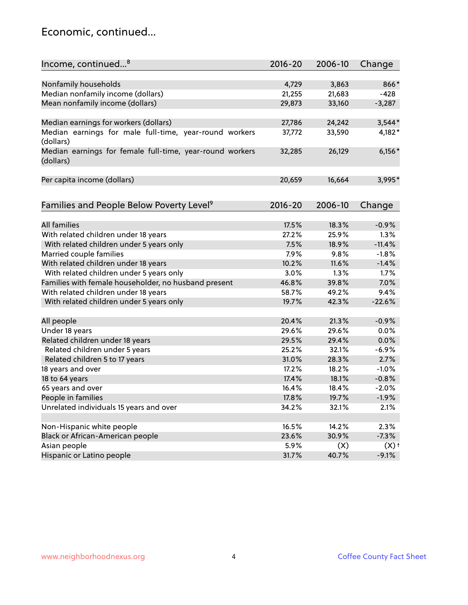#### Economic, continued...

| Nonfamily households<br>4,729<br>3,863<br>866*<br>Median nonfamily income (dollars)<br>21,255<br>21,683<br>$-428$<br>Mean nonfamily income (dollars)<br>29,873<br>33,160<br>$-3,287$<br>Median earnings for workers (dollars)<br>$3,544*$<br>27,786<br>24,242<br>Median earnings for male full-time, year-round workers<br>37,772<br>33,590<br>4,182*<br>(dollars)<br>$6,156*$<br>Median earnings for female full-time, year-round workers<br>32,285<br>26,129<br>(dollars)<br>Per capita income (dollars)<br>20,659<br>16,664<br>3,995*<br>Families and People Below Poverty Level <sup>9</sup><br>2016-20<br>2006-10<br>Change<br><b>All families</b><br>17.5%<br>18.3%<br>$-0.9%$<br>With related children under 18 years<br>27.2%<br>25.9%<br>1.3%<br>With related children under 5 years only<br>7.5%<br>$-11.4%$<br>18.9%<br>Married couple families<br>7.9%<br>$-1.8%$<br>9.8%<br>With related children under 18 years<br>10.2%<br>11.6%<br>$-1.4%$<br>With related children under 5 years only<br>1.3%<br>3.0%<br>1.7%<br>Families with female householder, no husband present<br>7.0%<br>46.8%<br>39.8%<br>With related children under 18 years<br>58.7%<br>49.2%<br>9.4%<br>With related children under 5 years only<br>19.7%<br>42.3%<br>$-22.6%$<br>$-0.9%$<br>All people<br>20.4%<br>21.3%<br>Under 18 years<br>0.0%<br>29.6%<br>29.6%<br>Related children under 18 years<br>29.5%<br>0.0%<br>29.4%<br>Related children under 5 years<br>$-6.9%$<br>25.2%<br>32.1%<br>Related children 5 to 17 years<br>2.7%<br>31.0%<br>28.3%<br>18 years and over<br>17.2%<br>18.2%<br>$-1.0%$<br>18 to 64 years<br>17.4%<br>18.1%<br>$-0.8%$<br>65 years and over<br>16.4%<br>18.4%<br>$-2.0%$<br>People in families<br>17.8%<br>19.7%<br>$-1.9%$<br>Unrelated individuals 15 years and over<br>34.2%<br>32.1%<br>2.1%<br>Non-Hispanic white people<br>16.5%<br>14.2%<br>2.3% | Income, continued <sup>8</sup>   | $2016 - 20$ | 2006-10 | Change  |
|-------------------------------------------------------------------------------------------------------------------------------------------------------------------------------------------------------------------------------------------------------------------------------------------------------------------------------------------------------------------------------------------------------------------------------------------------------------------------------------------------------------------------------------------------------------------------------------------------------------------------------------------------------------------------------------------------------------------------------------------------------------------------------------------------------------------------------------------------------------------------------------------------------------------------------------------------------------------------------------------------------------------------------------------------------------------------------------------------------------------------------------------------------------------------------------------------------------------------------------------------------------------------------------------------------------------------------------------------------------------------------------------------------------------------------------------------------------------------------------------------------------------------------------------------------------------------------------------------------------------------------------------------------------------------------------------------------------------------------------------------------------------------------------------------------------------------------------------------------------------------------|----------------------------------|-------------|---------|---------|
|                                                                                                                                                                                                                                                                                                                                                                                                                                                                                                                                                                                                                                                                                                                                                                                                                                                                                                                                                                                                                                                                                                                                                                                                                                                                                                                                                                                                                                                                                                                                                                                                                                                                                                                                                                                                                                                                               |                                  |             |         |         |
|                                                                                                                                                                                                                                                                                                                                                                                                                                                                                                                                                                                                                                                                                                                                                                                                                                                                                                                                                                                                                                                                                                                                                                                                                                                                                                                                                                                                                                                                                                                                                                                                                                                                                                                                                                                                                                                                               |                                  |             |         |         |
|                                                                                                                                                                                                                                                                                                                                                                                                                                                                                                                                                                                                                                                                                                                                                                                                                                                                                                                                                                                                                                                                                                                                                                                                                                                                                                                                                                                                                                                                                                                                                                                                                                                                                                                                                                                                                                                                               |                                  |             |         |         |
|                                                                                                                                                                                                                                                                                                                                                                                                                                                                                                                                                                                                                                                                                                                                                                                                                                                                                                                                                                                                                                                                                                                                                                                                                                                                                                                                                                                                                                                                                                                                                                                                                                                                                                                                                                                                                                                                               |                                  |             |         |         |
|                                                                                                                                                                                                                                                                                                                                                                                                                                                                                                                                                                                                                                                                                                                                                                                                                                                                                                                                                                                                                                                                                                                                                                                                                                                                                                                                                                                                                                                                                                                                                                                                                                                                                                                                                                                                                                                                               |                                  |             |         |         |
|                                                                                                                                                                                                                                                                                                                                                                                                                                                                                                                                                                                                                                                                                                                                                                                                                                                                                                                                                                                                                                                                                                                                                                                                                                                                                                                                                                                                                                                                                                                                                                                                                                                                                                                                                                                                                                                                               |                                  |             |         |         |
|                                                                                                                                                                                                                                                                                                                                                                                                                                                                                                                                                                                                                                                                                                                                                                                                                                                                                                                                                                                                                                                                                                                                                                                                                                                                                                                                                                                                                                                                                                                                                                                                                                                                                                                                                                                                                                                                               |                                  |             |         |         |
|                                                                                                                                                                                                                                                                                                                                                                                                                                                                                                                                                                                                                                                                                                                                                                                                                                                                                                                                                                                                                                                                                                                                                                                                                                                                                                                                                                                                                                                                                                                                                                                                                                                                                                                                                                                                                                                                               |                                  |             |         |         |
|                                                                                                                                                                                                                                                                                                                                                                                                                                                                                                                                                                                                                                                                                                                                                                                                                                                                                                                                                                                                                                                                                                                                                                                                                                                                                                                                                                                                                                                                                                                                                                                                                                                                                                                                                                                                                                                                               |                                  |             |         |         |
|                                                                                                                                                                                                                                                                                                                                                                                                                                                                                                                                                                                                                                                                                                                                                                                                                                                                                                                                                                                                                                                                                                                                                                                                                                                                                                                                                                                                                                                                                                                                                                                                                                                                                                                                                                                                                                                                               |                                  |             |         |         |
|                                                                                                                                                                                                                                                                                                                                                                                                                                                                                                                                                                                                                                                                                                                                                                                                                                                                                                                                                                                                                                                                                                                                                                                                                                                                                                                                                                                                                                                                                                                                                                                                                                                                                                                                                                                                                                                                               |                                  |             |         |         |
|                                                                                                                                                                                                                                                                                                                                                                                                                                                                                                                                                                                                                                                                                                                                                                                                                                                                                                                                                                                                                                                                                                                                                                                                                                                                                                                                                                                                                                                                                                                                                                                                                                                                                                                                                                                                                                                                               |                                  |             |         |         |
|                                                                                                                                                                                                                                                                                                                                                                                                                                                                                                                                                                                                                                                                                                                                                                                                                                                                                                                                                                                                                                                                                                                                                                                                                                                                                                                                                                                                                                                                                                                                                                                                                                                                                                                                                                                                                                                                               |                                  |             |         |         |
|                                                                                                                                                                                                                                                                                                                                                                                                                                                                                                                                                                                                                                                                                                                                                                                                                                                                                                                                                                                                                                                                                                                                                                                                                                                                                                                                                                                                                                                                                                                                                                                                                                                                                                                                                                                                                                                                               |                                  |             |         |         |
|                                                                                                                                                                                                                                                                                                                                                                                                                                                                                                                                                                                                                                                                                                                                                                                                                                                                                                                                                                                                                                                                                                                                                                                                                                                                                                                                                                                                                                                                                                                                                                                                                                                                                                                                                                                                                                                                               |                                  |             |         |         |
|                                                                                                                                                                                                                                                                                                                                                                                                                                                                                                                                                                                                                                                                                                                                                                                                                                                                                                                                                                                                                                                                                                                                                                                                                                                                                                                                                                                                                                                                                                                                                                                                                                                                                                                                                                                                                                                                               |                                  |             |         |         |
|                                                                                                                                                                                                                                                                                                                                                                                                                                                                                                                                                                                                                                                                                                                                                                                                                                                                                                                                                                                                                                                                                                                                                                                                                                                                                                                                                                                                                                                                                                                                                                                                                                                                                                                                                                                                                                                                               |                                  |             |         |         |
|                                                                                                                                                                                                                                                                                                                                                                                                                                                                                                                                                                                                                                                                                                                                                                                                                                                                                                                                                                                                                                                                                                                                                                                                                                                                                                                                                                                                                                                                                                                                                                                                                                                                                                                                                                                                                                                                               |                                  |             |         |         |
|                                                                                                                                                                                                                                                                                                                                                                                                                                                                                                                                                                                                                                                                                                                                                                                                                                                                                                                                                                                                                                                                                                                                                                                                                                                                                                                                                                                                                                                                                                                                                                                                                                                                                                                                                                                                                                                                               |                                  |             |         |         |
|                                                                                                                                                                                                                                                                                                                                                                                                                                                                                                                                                                                                                                                                                                                                                                                                                                                                                                                                                                                                                                                                                                                                                                                                                                                                                                                                                                                                                                                                                                                                                                                                                                                                                                                                                                                                                                                                               |                                  |             |         |         |
|                                                                                                                                                                                                                                                                                                                                                                                                                                                                                                                                                                                                                                                                                                                                                                                                                                                                                                                                                                                                                                                                                                                                                                                                                                                                                                                                                                                                                                                                                                                                                                                                                                                                                                                                                                                                                                                                               |                                  |             |         |         |
|                                                                                                                                                                                                                                                                                                                                                                                                                                                                                                                                                                                                                                                                                                                                                                                                                                                                                                                                                                                                                                                                                                                                                                                                                                                                                                                                                                                                                                                                                                                                                                                                                                                                                                                                                                                                                                                                               |                                  |             |         |         |
|                                                                                                                                                                                                                                                                                                                                                                                                                                                                                                                                                                                                                                                                                                                                                                                                                                                                                                                                                                                                                                                                                                                                                                                                                                                                                                                                                                                                                                                                                                                                                                                                                                                                                                                                                                                                                                                                               |                                  |             |         |         |
|                                                                                                                                                                                                                                                                                                                                                                                                                                                                                                                                                                                                                                                                                                                                                                                                                                                                                                                                                                                                                                                                                                                                                                                                                                                                                                                                                                                                                                                                                                                                                                                                                                                                                                                                                                                                                                                                               |                                  |             |         |         |
|                                                                                                                                                                                                                                                                                                                                                                                                                                                                                                                                                                                                                                                                                                                                                                                                                                                                                                                                                                                                                                                                                                                                                                                                                                                                                                                                                                                                                                                                                                                                                                                                                                                                                                                                                                                                                                                                               |                                  |             |         |         |
|                                                                                                                                                                                                                                                                                                                                                                                                                                                                                                                                                                                                                                                                                                                                                                                                                                                                                                                                                                                                                                                                                                                                                                                                                                                                                                                                                                                                                                                                                                                                                                                                                                                                                                                                                                                                                                                                               |                                  |             |         |         |
|                                                                                                                                                                                                                                                                                                                                                                                                                                                                                                                                                                                                                                                                                                                                                                                                                                                                                                                                                                                                                                                                                                                                                                                                                                                                                                                                                                                                                                                                                                                                                                                                                                                                                                                                                                                                                                                                               |                                  |             |         |         |
|                                                                                                                                                                                                                                                                                                                                                                                                                                                                                                                                                                                                                                                                                                                                                                                                                                                                                                                                                                                                                                                                                                                                                                                                                                                                                                                                                                                                                                                                                                                                                                                                                                                                                                                                                                                                                                                                               |                                  |             |         |         |
|                                                                                                                                                                                                                                                                                                                                                                                                                                                                                                                                                                                                                                                                                                                                                                                                                                                                                                                                                                                                                                                                                                                                                                                                                                                                                                                                                                                                                                                                                                                                                                                                                                                                                                                                                                                                                                                                               |                                  |             |         |         |
|                                                                                                                                                                                                                                                                                                                                                                                                                                                                                                                                                                                                                                                                                                                                                                                                                                                                                                                                                                                                                                                                                                                                                                                                                                                                                                                                                                                                                                                                                                                                                                                                                                                                                                                                                                                                                                                                               |                                  |             |         |         |
|                                                                                                                                                                                                                                                                                                                                                                                                                                                                                                                                                                                                                                                                                                                                                                                                                                                                                                                                                                                                                                                                                                                                                                                                                                                                                                                                                                                                                                                                                                                                                                                                                                                                                                                                                                                                                                                                               |                                  |             |         |         |
|                                                                                                                                                                                                                                                                                                                                                                                                                                                                                                                                                                                                                                                                                                                                                                                                                                                                                                                                                                                                                                                                                                                                                                                                                                                                                                                                                                                                                                                                                                                                                                                                                                                                                                                                                                                                                                                                               |                                  |             |         |         |
|                                                                                                                                                                                                                                                                                                                                                                                                                                                                                                                                                                                                                                                                                                                                                                                                                                                                                                                                                                                                                                                                                                                                                                                                                                                                                                                                                                                                                                                                                                                                                                                                                                                                                                                                                                                                                                                                               |                                  |             |         |         |
|                                                                                                                                                                                                                                                                                                                                                                                                                                                                                                                                                                                                                                                                                                                                                                                                                                                                                                                                                                                                                                                                                                                                                                                                                                                                                                                                                                                                                                                                                                                                                                                                                                                                                                                                                                                                                                                                               | Black or African-American people | 23.6%       | 30.9%   | $-7.3%$ |
| Asian people<br>5.9%<br>$(X)$ <sup>+</sup><br>(X)                                                                                                                                                                                                                                                                                                                                                                                                                                                                                                                                                                                                                                                                                                                                                                                                                                                                                                                                                                                                                                                                                                                                                                                                                                                                                                                                                                                                                                                                                                                                                                                                                                                                                                                                                                                                                             |                                  |             |         |         |
| Hispanic or Latino people<br>31.7%<br>40.7%<br>$-9.1%$                                                                                                                                                                                                                                                                                                                                                                                                                                                                                                                                                                                                                                                                                                                                                                                                                                                                                                                                                                                                                                                                                                                                                                                                                                                                                                                                                                                                                                                                                                                                                                                                                                                                                                                                                                                                                        |                                  |             |         |         |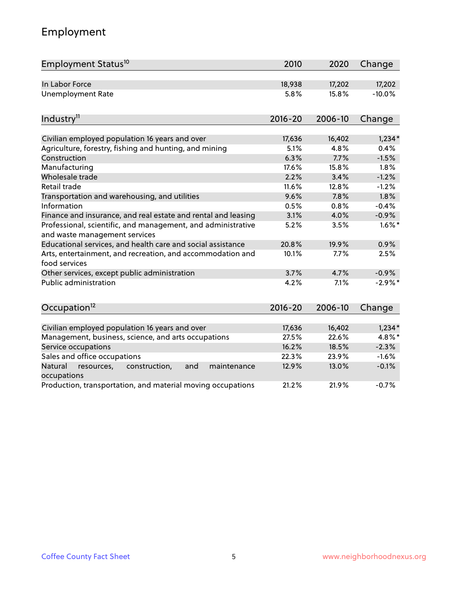### Employment

| Employment Status <sup>10</sup>                                                               | 2010        | 2020    | Change    |
|-----------------------------------------------------------------------------------------------|-------------|---------|-----------|
| In Labor Force                                                                                | 18,938      | 17,202  | 17,202    |
| <b>Unemployment Rate</b>                                                                      | 5.8%        | 15.8%   | $-10.0%$  |
| Industry <sup>11</sup>                                                                        | $2016 - 20$ | 2006-10 | Change    |
|                                                                                               |             |         |           |
| Civilian employed population 16 years and over                                                | 17,636      | 16,402  | $1,234*$  |
| Agriculture, forestry, fishing and hunting, and mining                                        | 5.1%        | 4.8%    | 0.4%      |
| Construction                                                                                  | 6.3%        | 7.7%    | $-1.5%$   |
| Manufacturing                                                                                 | 17.6%       | 15.8%   | 1.8%      |
| Wholesale trade                                                                               | 2.2%        | 3.4%    | $-1.2%$   |
| Retail trade                                                                                  | 11.6%       | 12.8%   | $-1.2%$   |
| Transportation and warehousing, and utilities                                                 | 9.6%        | 7.8%    | 1.8%      |
| Information                                                                                   | 0.5%        | 0.8%    | $-0.4%$   |
| Finance and insurance, and real estate and rental and leasing                                 | 3.1%        | 4.0%    | $-0.9%$   |
| Professional, scientific, and management, and administrative<br>and waste management services | 5.2%        | 3.5%    | $1.6\%$ * |
| Educational services, and health care and social assistance                                   | 20.8%       | 19.9%   | 0.9%      |
| Arts, entertainment, and recreation, and accommodation and<br>food services                   | 10.1%       | 7.7%    | 2.5%      |
| Other services, except public administration                                                  | 3.7%        | 4.7%    | $-0.9%$   |
| <b>Public administration</b>                                                                  | 4.2%        | 7.1%    | $-2.9%$ * |
| Occupation <sup>12</sup>                                                                      | $2016 - 20$ | 2006-10 | Change    |
|                                                                                               |             |         |           |
| Civilian employed population 16 years and over                                                | 17,636      | 16,402  | $1,234*$  |
| Management, business, science, and arts occupations                                           | 27.5%       | 22.6%   | 4.8%*     |
| Service occupations                                                                           | 16.2%       | 18.5%   | $-2.3%$   |
| Sales and office occupations                                                                  | 22.3%       | 23.9%   | $-1.6%$   |
| Natural<br>resources,<br>construction,<br>and<br>maintenance<br>occupations                   | 12.9%       | 13.0%   | $-0.1%$   |
| Production, transportation, and material moving occupations                                   | 21.2%       | 21.9%   | $-0.7%$   |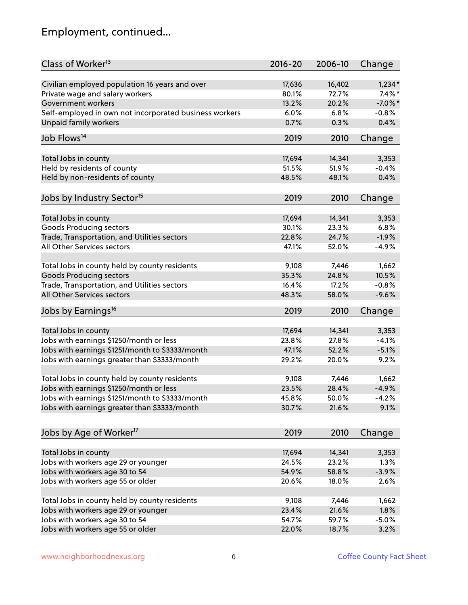### Employment, continued...

| Class of Worker <sup>13</sup>                          | $2016 - 20$ | 2006-10 | Change     |
|--------------------------------------------------------|-------------|---------|------------|
| Civilian employed population 16 years and over         | 17,636      | 16,402  | $1,234*$   |
| Private wage and salary workers                        | 80.1%       | 72.7%   | $7.4\%$ *  |
| Government workers                                     | 13.2%       | 20.2%   | $-7.0\%$ * |
| Self-employed in own not incorporated business workers | 6.0%        | 6.8%    | $-0.8%$    |
| <b>Unpaid family workers</b>                           | 0.7%        | 0.3%    | 0.4%       |
| Job Flows <sup>14</sup>                                | 2019        | 2010    | Change     |
|                                                        |             |         |            |
| Total Jobs in county                                   | 17,694      | 14,341  | 3,353      |
| Held by residents of county                            | 51.5%       | 51.9%   | $-0.4%$    |
| Held by non-residents of county                        | 48.5%       | 48.1%   | 0.4%       |
| Jobs by Industry Sector <sup>15</sup>                  | 2019        | 2010    | Change     |
| Total Jobs in county                                   | 17,694      | 14,341  | 3,353      |
| <b>Goods Producing sectors</b>                         | 30.1%       | 23.3%   | 6.8%       |
| Trade, Transportation, and Utilities sectors           | 22.8%       | 24.7%   | $-1.9%$    |
| All Other Services sectors                             | 47.1%       | 52.0%   | $-4.9%$    |
|                                                        |             |         |            |
| Total Jobs in county held by county residents          | 9,108       | 7,446   | 1,662      |
| <b>Goods Producing sectors</b>                         | 35.3%       | 24.8%   | 10.5%      |
| Trade, Transportation, and Utilities sectors           | 16.4%       | 17.2%   | $-0.8%$    |
| All Other Services sectors                             | 48.3%       | 58.0%   | $-9.6%$    |
| Jobs by Earnings <sup>16</sup>                         | 2019        | 2010    | Change     |
| Total Jobs in county                                   | 17,694      | 14,341  | 3,353      |
| Jobs with earnings \$1250/month or less                | 23.8%       | 27.8%   | $-4.1%$    |
| Jobs with earnings \$1251/month to \$3333/month        | 47.1%       | 52.2%   | $-5.1%$    |
|                                                        | 29.2%       | 20.0%   | 9.2%       |
| Jobs with earnings greater than \$3333/month           |             |         |            |
| Total Jobs in county held by county residents          | 9,108       | 7,446   | 1,662      |
| Jobs with earnings \$1250/month or less                | 23.5%       | 28.4%   | $-4.9%$    |
| Jobs with earnings \$1251/month to \$3333/month        | 45.8%       | 50.0%   | $-4.2\%$   |
| Jobs with earnings greater than \$3333/month           | 30.7%       | 21.6%   | 9.1%       |
| Jobs by Age of Worker <sup>17</sup>                    | 2019        | 2010    | Change     |
|                                                        |             |         |            |
| Total Jobs in county                                   | 17,694      | 14,341  | 3,353      |
| Jobs with workers age 29 or younger                    | 24.5%       | 23.2%   | 1.3%       |
| Jobs with workers age 30 to 54                         | 54.9%       | 58.8%   | $-3.9%$    |
| Jobs with workers age 55 or older                      | 20.6%       | 18.0%   | 2.6%       |
| Total Jobs in county held by county residents          | 9,108       | 7,446   | 1,662      |
| Jobs with workers age 29 or younger                    | 23.4%       | 21.6%   | 1.8%       |
| Jobs with workers age 30 to 54                         | 54.7%       | 59.7%   | $-5.0%$    |
| Jobs with workers age 55 or older                      | 22.0%       | 18.7%   | 3.2%       |
|                                                        |             |         |            |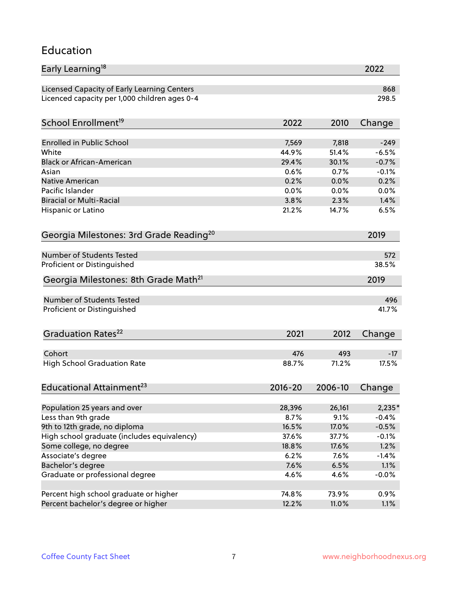#### Education

| Early Learning <sup>18</sup>                        |             |         | 2022    |
|-----------------------------------------------------|-------------|---------|---------|
| Licensed Capacity of Early Learning Centers         |             |         | 868     |
| Licenced capacity per 1,000 children ages 0-4       |             |         | 298.5   |
|                                                     |             |         |         |
| School Enrollment <sup>19</sup>                     | 2022        | 2010    | Change  |
| <b>Enrolled in Public School</b>                    | 7,569       | 7,818   | $-249$  |
| White                                               | 44.9%       | 51.4%   | $-6.5%$ |
| <b>Black or African-American</b>                    | 29.4%       | 30.1%   | $-0.7%$ |
| Asian                                               | 0.6%        | 0.7%    | $-0.1%$ |
| Native American                                     | 0.2%        | 0.0%    | 0.2%    |
| Pacific Islander                                    | 0.0%        | 0.0%    | 0.0%    |
| <b>Biracial or Multi-Racial</b>                     | 3.8%        | 2.3%    | 1.4%    |
| Hispanic or Latino                                  | 21.2%       | 14.7%   | 6.5%    |
| Georgia Milestones: 3rd Grade Reading <sup>20</sup> |             |         | 2019    |
|                                                     |             |         |         |
| Number of Students Tested                           |             |         | 572     |
| Proficient or Distinguished                         |             |         | 38.5%   |
| Georgia Milestones: 8th Grade Math <sup>21</sup>    |             |         | 2019    |
| Number of Students Tested                           |             |         | 496     |
| Proficient or Distinguished                         |             |         | 41.7%   |
|                                                     |             |         |         |
| Graduation Rates <sup>22</sup>                      | 2021        | 2012    | Change  |
|                                                     |             |         |         |
| Cohort                                              | 476         | 493     | $-17$   |
| <b>High School Graduation Rate</b>                  | 88.7%       | 71.2%   | 17.5%   |
| Educational Attainment <sup>23</sup>                | $2016 - 20$ | 2006-10 | Change  |
|                                                     |             |         |         |
| Population 25 years and over                        | 28,396      | 26,161  | 2,235*  |
| Less than 9th grade                                 | 8.7%        | 9.1%    | $-0.4%$ |
| 9th to 12th grade, no diploma                       | 16.5%       | 17.0%   | $-0.5%$ |
| High school graduate (includes equivalency)         | 37.6%       | 37.7%   | $-0.1%$ |
| Some college, no degree                             | 18.8%       | 17.6%   | 1.2%    |
| Associate's degree                                  | 6.2%        | 7.6%    | $-1.4%$ |
| Bachelor's degree                                   | 7.6%        | 6.5%    | 1.1%    |
| Graduate or professional degree                     | 4.6%        | 4.6%    | $-0.0%$ |
| Percent high school graduate or higher              | 74.8%       | 73.9%   | 0.9%    |
| Percent bachelor's degree or higher                 | 12.2%       | 11.0%   | 1.1%    |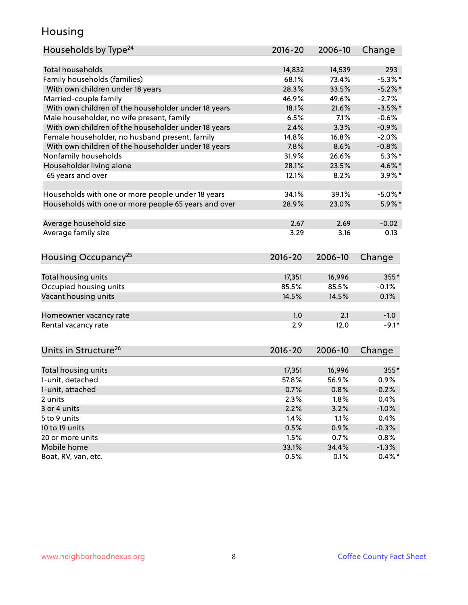#### Housing

| Households by Type <sup>24</sup>                     | 2016-20     | 2006-10 | Change     |
|------------------------------------------------------|-------------|---------|------------|
|                                                      |             |         |            |
| <b>Total households</b>                              | 14,832      | 14,539  | 293        |
| Family households (families)                         | 68.1%       | 73.4%   | $-5.3\%$ * |
| With own children under 18 years                     | 28.3%       | 33.5%   | $-5.2\%$ * |
| Married-couple family                                | 46.9%       | 49.6%   | $-2.7%$    |
| With own children of the householder under 18 years  | 18.1%       | 21.6%   | $-3.5%$ *  |
| Male householder, no wife present, family            | 6.5%        | 7.1%    | $-0.6%$    |
| With own children of the householder under 18 years  | 2.4%        | 3.3%    | $-0.9%$    |
| Female householder, no husband present, family       | 14.8%       | 16.8%   | $-2.0%$    |
| With own children of the householder under 18 years  | 7.8%        | 8.6%    | $-0.8%$    |
| Nonfamily households                                 | 31.9%       | 26.6%   | $5.3\%$ *  |
| Householder living alone                             | 28.1%       | 23.5%   | 4.6%*      |
| 65 years and over                                    | 12.1%       | 8.2%    | $3.9\%$ *  |
|                                                      |             |         |            |
| Households with one or more people under 18 years    | 34.1%       | 39.1%   | $-5.0\%$ * |
| Households with one or more people 65 years and over | 28.9%       | 23.0%   | $5.9\%$ *  |
| Average household size                               | 2.67        | 2.69    | $-0.02$    |
| Average family size                                  | 3.29        | 3.16    | 0.13       |
|                                                      |             |         |            |
| Housing Occupancy <sup>25</sup>                      | $2016 - 20$ | 2006-10 | Change     |
|                                                      |             |         |            |
| Total housing units                                  | 17,351      | 16,996  | 355*       |
| Occupied housing units                               | 85.5%       | 85.5%   | $-0.1%$    |
| Vacant housing units                                 | 14.5%       | 14.5%   | 0.1%       |
| Homeowner vacancy rate                               | 1.0         | 2.1     | $-1.0$     |
| Rental vacancy rate                                  | 2.9         | 12.0    | $-9.1*$    |
|                                                      |             |         |            |
| Units in Structure <sup>26</sup>                     | $2016 - 20$ | 2006-10 | Change     |
| Total housing units                                  | 17,351      | 16,996  | 355*       |
| 1-unit, detached                                     | 57.8%       | 56.9%   | 0.9%       |
| 1-unit, attached                                     | 0.7%        | 0.8%    | $-0.2%$    |
| 2 units                                              | 2.3%        | 1.8%    | 0.4%       |
| 3 or 4 units                                         | 2.2%        | 3.2%    | $-1.0%$    |
| 5 to 9 units                                         | 1.4%        | 1.1%    | 0.4%       |
| 10 to 19 units                                       | 0.5%        | 0.9%    | $-0.3%$    |
| 20 or more units                                     | 1.5%        | 0.7%    | 0.8%       |
| Mobile home                                          | 33.1%       | 34.4%   | $-1.3%$    |
| Boat, RV, van, etc.                                  | 0.5%        | 0.1%    | $0.4\%$ *  |
|                                                      |             |         |            |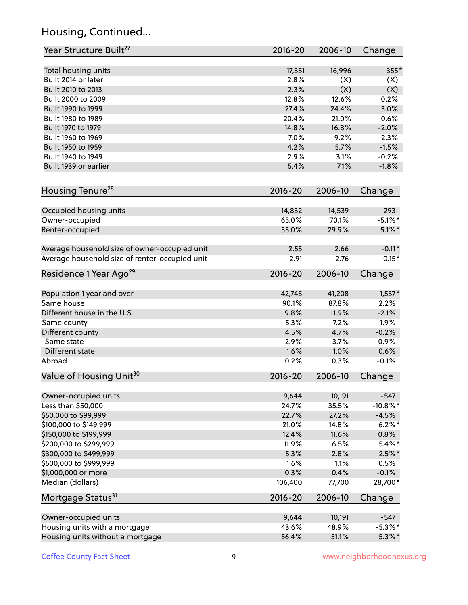### Housing, Continued...

| Year Structure Built <sup>27</sup>             | 2016-20        | 2006-10         | Change               |
|------------------------------------------------|----------------|-----------------|----------------------|
| Total housing units                            | 17,351         | 16,996          | 355*                 |
| Built 2014 or later                            | 2.8%           | (X)             | (X)                  |
| Built 2010 to 2013                             | 2.3%           | (X)             | (X)                  |
| Built 2000 to 2009                             | 12.8%          | 12.6%           | 0.2%                 |
| Built 1990 to 1999                             | 27.4%          | 24.4%           | 3.0%                 |
| Built 1980 to 1989                             | 20.4%          | 21.0%           | $-0.6%$              |
| Built 1970 to 1979                             | 14.8%          | 16.8%           | $-2.0%$              |
| Built 1960 to 1969                             | 7.0%           | 9.2%            | $-2.3%$              |
| Built 1950 to 1959                             | 4.2%           | 5.7%            | $-1.5%$              |
| Built 1940 to 1949                             | 2.9%           | 3.1%            | $-0.2%$              |
| Built 1939 or earlier                          | 5.4%           | 7.1%            | $-1.8%$              |
| Housing Tenure <sup>28</sup>                   | $2016 - 20$    | 2006-10         | Change               |
|                                                |                |                 |                      |
| Occupied housing units                         | 14,832         | 14,539          | 293                  |
| Owner-occupied                                 | 65.0%          | 70.1%           | $-5.1\%$ *           |
| Renter-occupied                                | 35.0%          | 29.9%           | $5.1\%$ *            |
| Average household size of owner-occupied unit  | 2.55           | 2.66            | $-0.11*$             |
| Average household size of renter-occupied unit | 2.91           | 2.76            | $0.15*$              |
| Residence 1 Year Ago <sup>29</sup>             | 2016-20        | 2006-10         | Change               |
| Population 1 year and over                     | 42,745         | 41,208          | $1,537*$             |
| Same house                                     | 90.1%          | 87.8%           | 2.2%                 |
| Different house in the U.S.                    | 9.8%           | 11.9%           | $-2.1%$              |
| Same county                                    | 5.3%           | 7.2%            | $-1.9%$              |
| Different county                               | 4.5%           | 4.7%            | $-0.2%$              |
| Same state                                     | 2.9%           | 3.7%            | $-0.9%$              |
| Different state                                | 1.6%           | 1.0%            | 0.6%                 |
| Abroad                                         | 0.2%           | 0.3%            | $-0.1%$              |
| Value of Housing Unit <sup>30</sup>            | $2016 - 20$    | 2006-10         | Change               |
| Owner-occupied units                           | 9,644          | 10,191          | $-547$               |
| Less than \$50,000                             | 24.7%          | 35.5%           | $-10.8\%$ *          |
| \$50,000 to \$99,999                           | 22.7%          | 27.2%           | $-4.5%$              |
| \$100,000 to \$149,999                         | 21.0%          | 14.8%           | $6.2%$ *             |
| \$150,000 to \$199,999                         | 12.4%          | 11.6%           | 0.8%                 |
| \$200,000 to \$299,999                         | 11.9%          | 6.5%            | $5.4\%$ *            |
| \$300,000 to \$499,999                         | 5.3%           | 2.8%            | $2.5\%$ *            |
| \$500,000 to \$999,999                         | 1.6%           | 1.1%            | 0.5%                 |
| \$1,000,000 or more                            | 0.3%           | 0.4%            | $-0.1%$              |
| Median (dollars)                               | 106,400        | 77,700          | 28,700*              |
| Mortgage Status <sup>31</sup>                  | 2016-20        | 2006-10         | Change               |
|                                                |                |                 |                      |
| Owner-occupied units                           | 9,644<br>43.6% | 10,191<br>48.9% | $-547$<br>$-5.3\%$ * |
| Housing units with a mortgage                  |                |                 | $5.3\%$ *            |
| Housing units without a mortgage               | 56.4%          | 51.1%           |                      |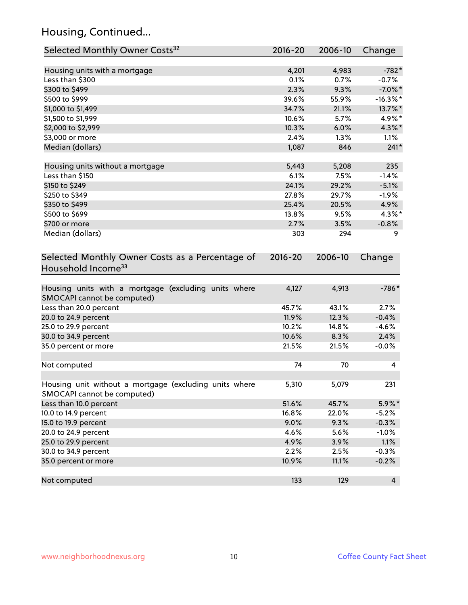### Housing, Continued...

| Selected Monthly Owner Costs <sup>32</sup>                                            | 2016-20 | 2006-10 | Change         |
|---------------------------------------------------------------------------------------|---------|---------|----------------|
| Housing units with a mortgage                                                         | 4,201   | 4,983   | $-782*$        |
| Less than \$300                                                                       | 0.1%    | 0.7%    | $-0.7%$        |
| \$300 to \$499                                                                        | 2.3%    | 9.3%    | $-7.0\%$ *     |
| \$500 to \$999                                                                        | 39.6%   | 55.9%   | $-16.3\%$ *    |
| \$1,000 to \$1,499                                                                    | 34.7%   | 21.1%   | 13.7%*         |
| \$1,500 to \$1,999                                                                    | 10.6%   | 5.7%    | 4.9%*          |
| \$2,000 to \$2,999                                                                    | 10.3%   | 6.0%    | 4.3%*          |
| \$3,000 or more                                                                       | 2.4%    | 1.3%    | 1.1%           |
| Median (dollars)                                                                      | 1,087   | 846     | $241*$         |
| Housing units without a mortgage                                                      | 5,443   | 5,208   | 235            |
| Less than \$150                                                                       | 6.1%    | 7.5%    | $-1.4%$        |
| \$150 to \$249                                                                        | 24.1%   | 29.2%   | $-5.1%$        |
| \$250 to \$349                                                                        | 27.8%   | 29.7%   | $-1.9%$        |
| \$350 to \$499                                                                        | 25.4%   | 20.5%   | 4.9%           |
| \$500 to \$699                                                                        | 13.8%   | 9.5%    | $4.3\%$ *      |
| \$700 or more                                                                         | 2.7%    | 3.5%    | $-0.8%$        |
| Median (dollars)                                                                      | 303     | 294     | 9              |
| Household Income <sup>33</sup>                                                        |         |         |                |
| Housing units with a mortgage (excluding units where<br>SMOCAPI cannot be computed)   | 4,127   | 4,913   | $-786*$        |
| Less than 20.0 percent                                                                | 45.7%   | 43.1%   | 2.7%           |
| 20.0 to 24.9 percent                                                                  | 11.9%   | 12.3%   | $-0.4%$        |
| 25.0 to 29.9 percent                                                                  | 10.2%   | 14.8%   | $-4.6%$        |
| 30.0 to 34.9 percent                                                                  | 10.6%   | 8.3%    | 2.4%           |
| 35.0 percent or more                                                                  | 21.5%   | 21.5%   | $-0.0%$        |
| Not computed                                                                          | 74      | 70      | 4              |
| Housing unit without a mortgage (excluding units where<br>SMOCAPI cannot be computed) | 5,310   | 5,079   | 231            |
| Less than 10.0 percent                                                                | 51.6%   | 45.7%   | 5.9%*          |
| 10.0 to 14.9 percent                                                                  | 16.8%   | 22.0%   | $-5.2%$        |
| 15.0 to 19.9 percent                                                                  | 9.0%    | 9.3%    | $-0.3%$        |
| 20.0 to 24.9 percent                                                                  | 4.6%    | 5.6%    | $-1.0%$        |
| 25.0 to 29.9 percent                                                                  | 4.9%    | 3.9%    | 1.1%           |
| 30.0 to 34.9 percent                                                                  | 2.2%    | 2.5%    | $-0.3%$        |
| 35.0 percent or more                                                                  | 10.9%   | 11.1%   | $-0.2%$        |
| Not computed                                                                          | 133     | 129     | $\overline{4}$ |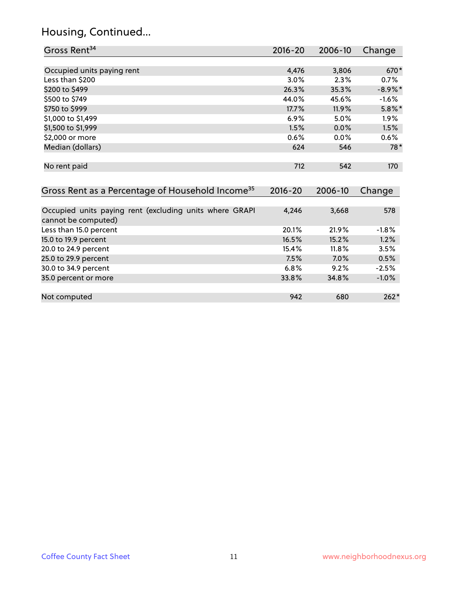### Housing, Continued...

| Gross Rent <sup>34</sup>                                                       | 2016-20     | 2006-10 | Change     |
|--------------------------------------------------------------------------------|-------------|---------|------------|
|                                                                                |             |         |            |
| Occupied units paying rent                                                     | 4,476       | 3,806   | 670*       |
| Less than \$200                                                                | 3.0%        | 2.3%    | 0.7%       |
| \$200 to \$499                                                                 | 26.3%       | 35.3%   | $-8.9\%$ * |
| \$500 to \$749                                                                 | 44.0%       | 45.6%   | $-1.6%$    |
| \$750 to \$999                                                                 | 17.7%       | 11.9%   | $5.8\%$ *  |
| \$1,000 to \$1,499                                                             | 6.9%        | 5.0%    | 1.9%       |
| \$1,500 to \$1,999                                                             | 1.5%        | 0.0%    | 1.5%       |
| \$2,000 or more                                                                | 0.6%        | 0.0%    | 0.6%       |
| Median (dollars)                                                               | 624         | 546     | $78*$      |
| No rent paid                                                                   | 712         | 542     | 170        |
| Gross Rent as a Percentage of Household Income <sup>35</sup>                   | $2016 - 20$ | 2006-10 | Change     |
|                                                                                |             |         |            |
| Occupied units paying rent (excluding units where GRAPI<br>cannot be computed) | 4,246       | 3,668   | 578        |
| Less than 15.0 percent                                                         | 20.1%       | 21.9%   | $-1.8%$    |
| 15.0 to 19.9 percent                                                           | 16.5%       | 15.2%   | 1.2%       |
| 20.0 to 24.9 percent                                                           | 15.4%       | 11.8%   | 3.5%       |
| 25.0 to 29.9 percent                                                           | 7.5%        | 7.0%    | 0.5%       |
| 30.0 to 34.9 percent                                                           | 6.8%        | 9.2%    | $-2.5%$    |
| 35.0 percent or more                                                           | 33.8%       | 34.8%   | $-1.0%$    |
|                                                                                |             |         |            |
| Not computed                                                                   | 942         | 680     | $262*$     |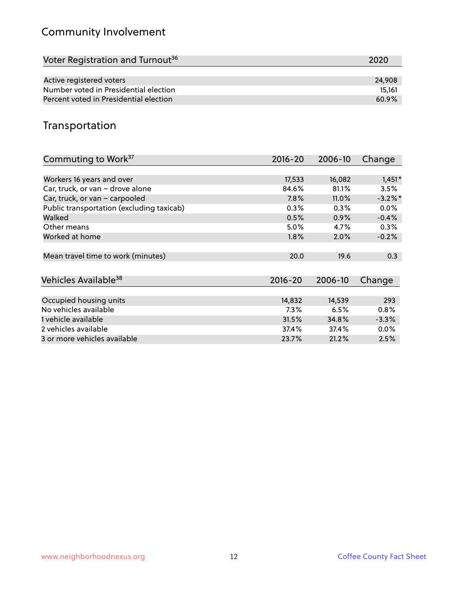### Community Involvement

| Voter Registration and Turnout <sup>36</sup> | 2020   |
|----------------------------------------------|--------|
|                                              |        |
| Active registered voters                     | 24,908 |
| Number voted in Presidential election        | 15.161 |
| Percent voted in Presidential election       | 60.9%  |

#### Transportation

| Commuting to Work <sup>37</sup>           | 2016-20     | 2006-10  | Change     |
|-------------------------------------------|-------------|----------|------------|
|                                           |             |          |            |
| Workers 16 years and over                 | 17,533      | 16,082   | $1,451*$   |
| Car, truck, or van - drove alone          | 84.6%       | 81.1%    | 3.5%       |
| Car, truck, or van - carpooled            | 7.8%        | $11.0\%$ | $-3.2\%$ * |
| Public transportation (excluding taxicab) | 0.3%        | $0.3\%$  | $0.0\%$    |
| Walked                                    | 0.5%        | 0.9%     | $-0.4%$    |
| Other means                               | $5.0\%$     | 4.7%     | 0.3%       |
| Worked at home                            | 1.8%        | 2.0%     | $-0.2%$    |
|                                           |             |          |            |
| Mean travel time to work (minutes)        | 20.0        | 19.6     | 0.3        |
|                                           |             |          |            |
| Vehicles Available <sup>38</sup>          | $2016 - 20$ | 2006-10  | Change     |
|                                           |             |          |            |
| Occupied housing units                    | 14,832      | 14,539   | 293        |
| No vehicles available                     | 7.3%        | 6.5%     | 0.8%       |
| 1 vehicle available                       | 31.5%       | 34.8%    | $-3.3%$    |
| 2 vehicles available                      | 37.4%       | 37.4%    | $0.0\%$    |
| 3 or more vehicles available              | 23.7%       | 21.2%    | 2.5%       |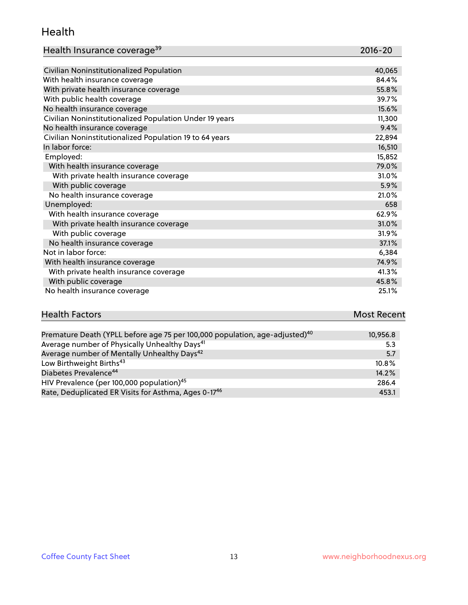#### Health

| Health Insurance coverage <sup>39</sup> | 2016-20 |
|-----------------------------------------|---------|
|-----------------------------------------|---------|

| Civilian Noninstitutionalized Population                | 40,065 |
|---------------------------------------------------------|--------|
| With health insurance coverage                          | 84.4%  |
| With private health insurance coverage                  | 55.8%  |
| With public health coverage                             | 39.7%  |
| No health insurance coverage                            | 15.6%  |
| Civilian Noninstitutionalized Population Under 19 years | 11,300 |
| No health insurance coverage                            | 9.4%   |
| Civilian Noninstitutionalized Population 19 to 64 years | 22,894 |
| In labor force:                                         | 16,510 |
| Employed:                                               | 15,852 |
| With health insurance coverage                          | 79.0%  |
| With private health insurance coverage                  | 31.0%  |
| With public coverage                                    | 5.9%   |
| No health insurance coverage                            | 21.0%  |
| Unemployed:                                             | 658    |
| With health insurance coverage                          | 62.9%  |
| With private health insurance coverage                  | 31.0%  |
| With public coverage                                    | 31.9%  |
| No health insurance coverage                            | 37.1%  |
| Not in labor force:                                     | 6,384  |
| With health insurance coverage                          | 74.9%  |
| With private health insurance coverage                  | 41.3%  |
| With public coverage                                    | 45.8%  |
| No health insurance coverage                            | 25.1%  |

## **Health Factors Most Recent** And The Control of the Control of The Control of The Control of The Control of The Control of The Control of The Control of The Control of The Control of The Control of The Control of The Contr

| Premature Death (YPLL before age 75 per 100,000 population, age-adjusted) <sup>40</sup> | 10,956.8 |
|-----------------------------------------------------------------------------------------|----------|
| Average number of Physically Unhealthy Days <sup>41</sup>                               | 5.3      |
| Average number of Mentally Unhealthy Days <sup>42</sup>                                 | 5.7      |
| Low Birthweight Births <sup>43</sup>                                                    | 10.8%    |
| Diabetes Prevalence <sup>44</sup>                                                       | 14.2%    |
| HIV Prevalence (per 100,000 population) <sup>45</sup>                                   | 286.4    |
| Rate, Deduplicated ER Visits for Asthma, Ages 0-17 <sup>46</sup>                        | 453.1    |